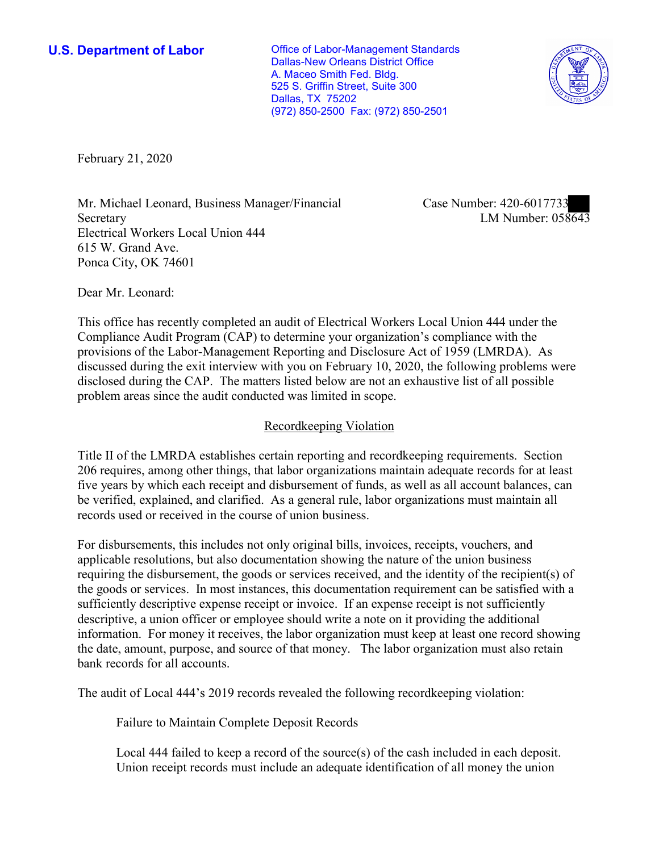**U.S. Department of Labor Conservative Conservative Conservative Conservative U.S.** Department of Labor Dallas-New Orleans District Office A. Maceo Smith Fed. Bldg. 525 S. Griffin Street, Suite 300 Dallas, TX 75202 (972) 850-2500 Fax: (972) 850-2501



February 21, 2020

Mr. Michael Leonard, Business Manager/Financial Secretary Electrical Workers Local Union 444 615 W. Grand Ave. Ponca City, OK 74601

Case Number: 420-6017733 LM Number: 058643

Dear Mr. Leonard:

This office has recently completed an audit of Electrical Workers Local Union 444 under the Compliance Audit Program (CAP) to determine your organization's compliance with the provisions of the Labor-Management Reporting and Disclosure Act of 1959 (LMRDA). As discussed during the exit interview with you on February 10, 2020, the following problems were disclosed during the CAP. The matters listed below are not an exhaustive list of all possible problem areas since the audit conducted was limited in scope.

### Recordkeeping Violation

Title II of the LMRDA establishes certain reporting and recordkeeping requirements. Section 206 requires, among other things, that labor organizations maintain adequate records for at least five years by which each receipt and disbursement of funds, as well as all account balances, can be verified, explained, and clarified. As a general rule, labor organizations must maintain all records used or received in the course of union business.

For disbursements, this includes not only original bills, invoices, receipts, vouchers, and applicable resolutions, but also documentation showing the nature of the union business requiring the disbursement, the goods or services received, and the identity of the recipient(s) of the goods or services. In most instances, this documentation requirement can be satisfied with a sufficiently descriptive expense receipt or invoice. If an expense receipt is not sufficiently descriptive, a union officer or employee should write a note on it providing the additional information. For money it receives, the labor organization must keep at least one record showing the date, amount, purpose, and source of that money. The labor organization must also retain bank records for all accounts.

The audit of Local 444's 2019 records revealed the following recordkeeping violation:

Failure to Maintain Complete Deposit Records

Local 444 failed to keep a record of the source(s) of the cash included in each deposit. Union receipt records must include an adequate identification of all money the union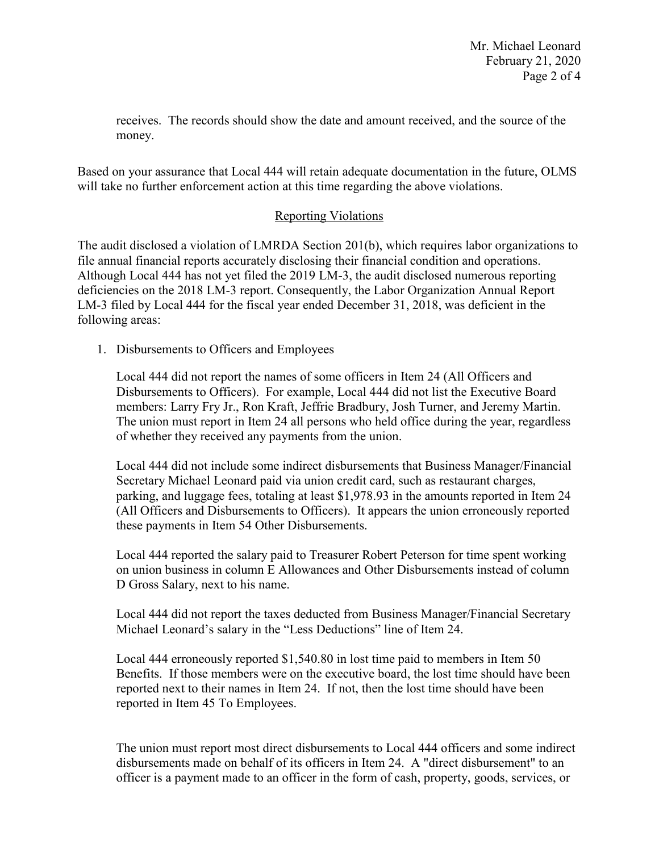receives. The records should show the date and amount received, and the source of the money.

Based on your assurance that Local 444 will retain adequate documentation in the future, OLMS will take no further enforcement action at this time regarding the above violations.

# Reporting Violations

The audit disclosed a violation of LMRDA Section 201(b), which requires labor organizations to file annual financial reports accurately disclosing their financial condition and operations. Although Local 444 has not yet filed the 2019 LM-3, the audit disclosed numerous reporting deficiencies on the 2018 LM-3 report. Consequently, the Labor Organization Annual Report LM-3 filed by Local 444 for the fiscal year ended December 31, 2018, was deficient in the following areas:

1. Disbursements to Officers and Employees

Local 444 did not report the names of some officers in Item 24 (All Officers and Disbursements to Officers). For example, Local 444 did not list the Executive Board members: Larry Fry Jr., Ron Kraft, Jeffrie Bradbury, Josh Turner, and Jeremy Martin. The union must report in Item 24 all persons who held office during the year, regardless of whether they received any payments from the union.

Local 444 did not include some indirect disbursements that Business Manager/Financial Secretary Michael Leonard paid via union credit card, such as restaurant charges, parking, and luggage fees, totaling at least \$1,978.93 in the amounts reported in Item 24 (All Officers and Disbursements to Officers). It appears the union erroneously reported these payments in Item 54 Other Disbursements.

Local 444 reported the salary paid to Treasurer Robert Peterson for time spent working on union business in column E Allowances and Other Disbursements instead of column D Gross Salary, next to his name.

Local 444 did not report the taxes deducted from Business Manager/Financial Secretary Michael Leonard's salary in the "Less Deductions" line of Item 24.

Local 444 erroneously reported \$1,540.80 in lost time paid to members in Item 50 Benefits. If those members were on the executive board, the lost time should have been reported next to their names in Item 24. If not, then the lost time should have been reported in Item 45 To Employees.

The union must report most direct disbursements to Local 444 officers and some indirect disbursements made on behalf of its officers in Item 24. A "direct disbursement" to an officer is a payment made to an officer in the form of cash, property, goods, services, or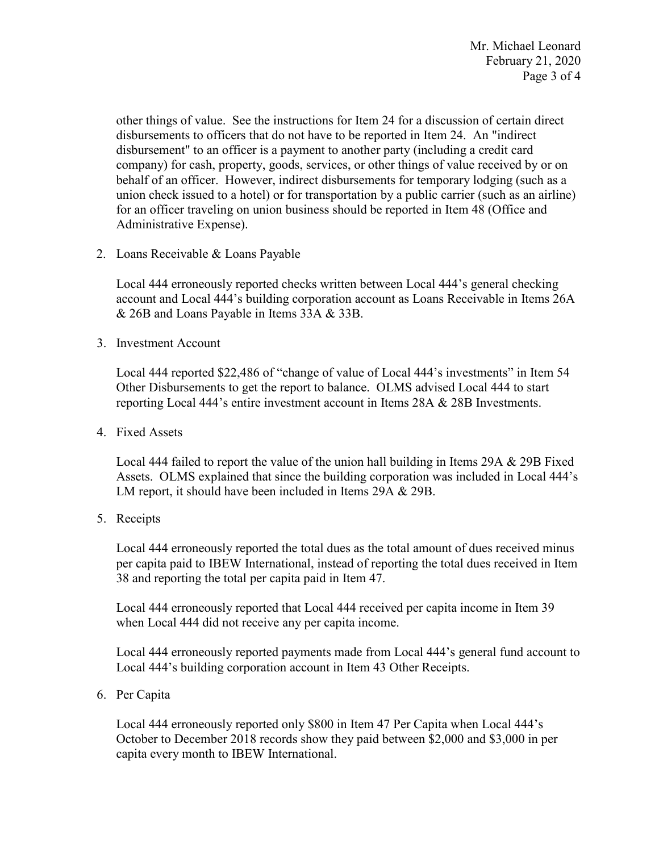other things of value. See the instructions for Item 24 for a discussion of certain direct disbursements to officers that do not have to be reported in Item 24. An "indirect disbursement" to an officer is a payment to another party (including a credit card company) for cash, property, goods, services, or other things of value received by or on behalf of an officer. However, indirect disbursements for temporary lodging (such as a union check issued to a hotel) or for transportation by a public carrier (such as an airline) for an officer traveling on union business should be reported in Item 48 (Office and Administrative Expense).

2. Loans Receivable & Loans Payable

Local 444 erroneously reported checks written between Local 444's general checking account and Local 444's building corporation account as Loans Receivable in Items 26A & 26B and Loans Payable in Items 33A & 33B.

3. Investment Account

Local 444 reported \$22,486 of "change of value of Local 444's investments" in Item 54 Other Disbursements to get the report to balance. OLMS advised Local 444 to start reporting Local 444's entire investment account in Items 28A & 28B Investments.

4. Fixed Assets

Local 444 failed to report the value of the union hall building in Items 29A & 29B Fixed Assets. OLMS explained that since the building corporation was included in Local 444's LM report, it should have been included in Items 29A & 29B.

5. Receipts

Local 444 erroneously reported the total dues as the total amount of dues received minus per capita paid to IBEW International, instead of reporting the total dues received in Item 38 and reporting the total per capita paid in Item 47.

Local 444 erroneously reported that Local 444 received per capita income in Item 39 when Local 444 did not receive any per capita income.

Local 444 erroneously reported payments made from Local 444's general fund account to Local 444's building corporation account in Item 43 Other Receipts.

6. Per Capita

Local 444 erroneously reported only \$800 in Item 47 Per Capita when Local 444's October to December 2018 records show they paid between \$2,000 and \$3,000 in per capita every month to IBEW International.